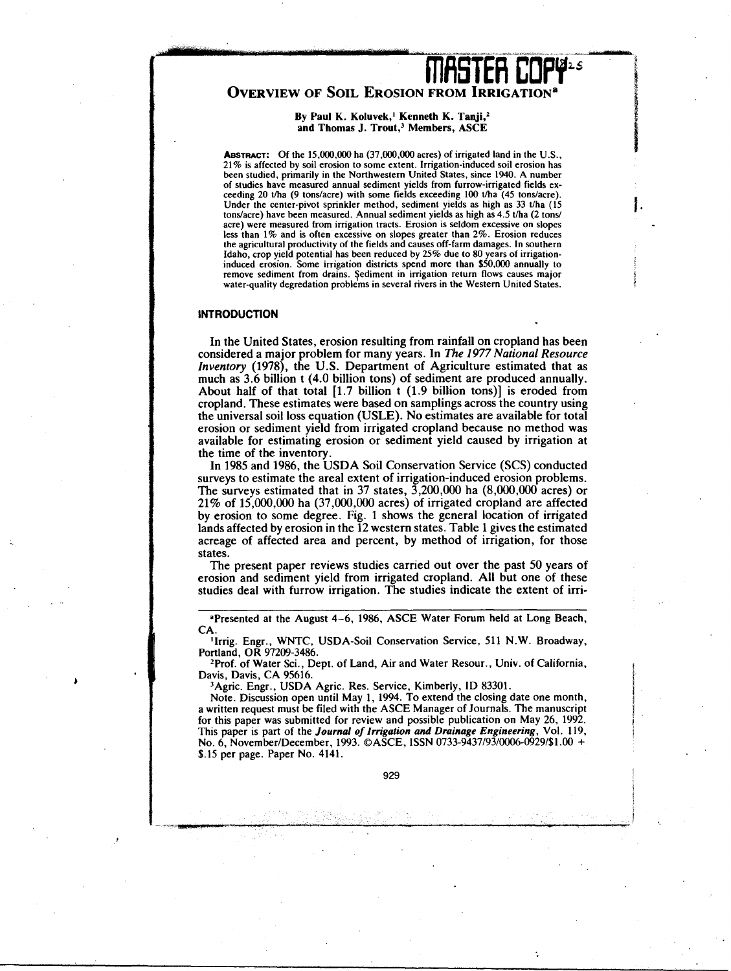# **INISTER COPY"**

## OVERVIEW OF SOIL EROSION FROM IRRIGATION

## By Paul K. Koluvek,<sup>1</sup> Kenneth K. Tanji,<sup>2</sup> **and Thomas J. Trout,' Members, ASCE**

**ABSTRACT:** Of the 15,000,000 ha (37,000,000 acres) of irrigated land in the U.S., 21% is affected by soil erosion to some extent. Irrigation-induced soil erosion has been studied, primarily in the Northwestern United States, since 1940. A number of studies have measured annual sediment yields from furrow-irrigated fields exceeding 20 t/ha (9 tons/acre) with some fields exceeding 100 t/ha (45 tons/acre). Under the center-pivot sprinkler method, sediment yields as high as 33 t/ha (15) tons/acre) have been measured. Annual sediment yields as high as 4.5 t/ha (2 tons/ acre) were measured from irrigation tracts. Erosion is seldom excessive on slopes less than 1% and is often excessive on slopes greater than 2%. Erosion reduces the agricultural productivity of the fields and causes off-farm damages. In southern Idaho, crop yield potential has been reduced by 25% due to 80 years of irrigation-induced erosion. Some irrigation districts spend more than \$50,000 annually to remove sediment from drains. Sediment in irrigation return flows causes major water-quality degredation problems in several rivers in the Western United States.

### **INTRODUCTION**

In the United States, erosion resulting from rainfall on cropland has been considered a major problem for many years. In *The 1977 National Resource Inventory* (1978), the U.S. Department of Agriculture estimated that as much as 3.6 billion t (4.0 billion tons) of sediment are produced annually. About half of that total [1.7 billion t (1.9 billion tons)] is eroded from cropland. These estimates were based on samplings across the country using the universal soil loss equation (USLE). No estimates are available for total erosion or sediment yield from irrigated cropland because no method was available for estimating erosion or sediment yield caused by irrigation at the time of the inventory.

In 1985 and 1986, the USDA Soil Conservation Service (SCS) conducted surveys to estimate the areal extent of irrigation-induced erosion problems. The surveys estimated that in 37 states,  $\overline{3}$ , 200, 000 ha (8,000, 000 acres) or 21% of 15,000,000 ha (37,000,000 acres) of irrigated cropland are affected by erosion to some degree. Fig. 1 shows the general location of irrigated lands affected by erosion in the 12 western states. Table 1 gives the estimated acreage of affected area and percent, by method of irrigation, for those states.

The present paper reviews studies carried out over the past 50 years of erosion and sediment yield from irrigated cropland. All but one of these studies deal with furrow irrigation. The studies indicate the extent of irri-

'Presented at the August 4-6, 1986, ASCE Water Forum held at Long Beach, CA.

'Irrig. Engr., WNTC, USDA-Soil Conservation Service, 511 N.W. Broadway, Portland, OR 97209-3486.

2Prof. of Water Sci., Dept. of Land, Air and Water Resour., Univ. of California, Davis, Davis, CA 95616.

<sup>3</sup>Agric. Engr., USDA Agric. Res. Service, Kimberly, ID 83301.

Note. Discussion open until May 1, 1994. To extend the closing date one month, a written request must be filed with the ASCE Manager of Journals. The manuscript for this paper was submitted for review and possible publication on May 26, 1992. This paper is part of the *Journal of Irrigation and Drainage Engineering,* Vol. 119, No. 6, November/December, 1993. ©ASCE, ISSN 0733-9437/93/0006-0929/\$1.00 + \$.15 per page. Paper No. 4141.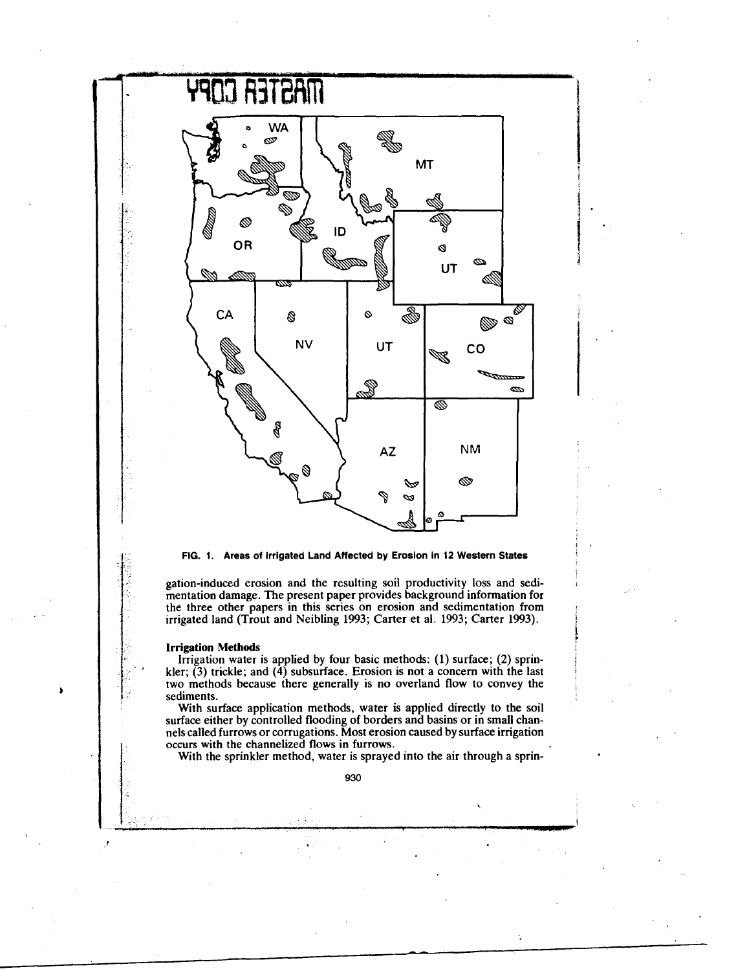



gation-induced erosion and the resulting soil productivity loss and sedimentation damage. The present paper provides background information for the three other papers in this series on erosion and sedimentation from irrigated land (Trout and Neibling 1993; Carter et al. 1993; Carter 1993).

#### **Irrigation Methods**

Irrigation water is applied by four basic methods: (1) surface; (2) sprinkler;  $(3)$  trickle; and  $(4)$  subsurface. Erosion is not a concern with the last two methods because there generally is no overland flow to convey the sediments.

With surface application methods, water is applied directly to the soil surface either by controlled flooding of borders and basins or in small channels called furrows or corrugations. Most erosion caused by surface irrigation occurs with the channelized flows in furrows.

With the sprinkler method, water is sprayed into the air through a sprin-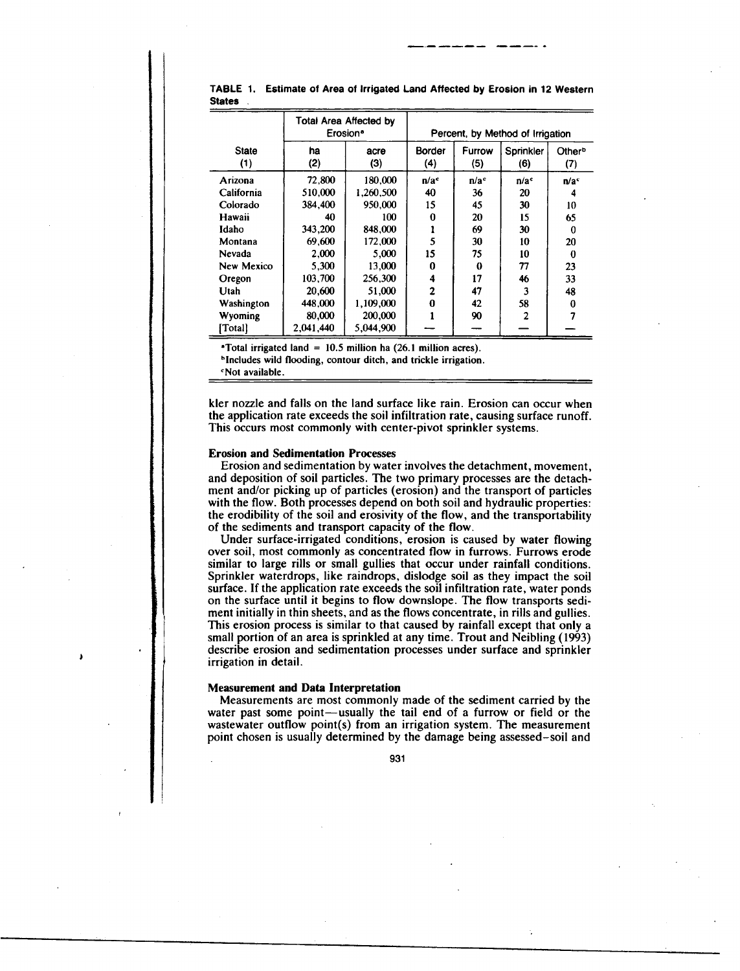|              |           | Total Area Affected by<br>Erosion <sup>a</sup> | Percent, by Method of Irrigation |                  |                  |                    |  |  |  |
|--------------|-----------|------------------------------------------------|----------------------------------|------------------|------------------|--------------------|--|--|--|
| <b>State</b> | ha        | acre                                           | <b>Border</b>                    | Furrow           | Sprinkler        | Other <sup>b</sup> |  |  |  |
| (1)          | (2)       | (3)                                            | (4)                              | (5)              | (6)              | (7)                |  |  |  |
| Arizona      | 72.800    | 180,000                                        | n/a <sup>c</sup>                 | n/a <sup>c</sup> | n/a <sup>c</sup> | n/a <sup>c</sup>   |  |  |  |
| California   | 510,000   | 1.260,500                                      | 40                               | 36               | 20               |                    |  |  |  |
| Colorado     | 384,400   | 950.000                                        | 15                               | 45               | 30               | 10                 |  |  |  |
| Hawaii       | 40        | 100                                            | $\bf{0}$                         | 20               | 15               | 65                 |  |  |  |
| Idaho        | 343,200   | 848,000                                        |                                  | 69               | 30               | 0                  |  |  |  |
| Montana      | 69.600    | 172,000                                        | 5                                | 30               | 10               | 20                 |  |  |  |
| Nevada       | 2.000     | 5.000                                          | 15                               | 75               | 10               | 0                  |  |  |  |
| New Mexico   | 5.300     | 13.000                                         | 0                                | 0                | 77               | 23                 |  |  |  |
| Oregon       | 103,700   | 256,300                                        | 4                                | 17               | 46               | 33                 |  |  |  |
| Utah         | 20,600    | 51.000                                         | 2                                | 47               | 3                | 48                 |  |  |  |
| Washington   | 448,000   | 1,109,000                                      | 0                                | 42               | 58               | 0                  |  |  |  |
| Wyoming      | 80,000    | 200,000                                        |                                  | 90               | $\overline{2}$   |                    |  |  |  |
| [Total]      | 2,041,440 | 5,044,900                                      |                                  |                  |                  |                    |  |  |  |

TABLE 1. Estimate of Area of Irrigated Land Affected by Erosion in 12 Western **States**

°Total irrigated land = 10.5 million ha (26.1 million acres).

°Includes wild flooding, contour ditch, and trickle irrigation.

°Not available.

kler nozzle and falls on the land surface like rain. Erosion can occur when the application rate exceeds the soil infiltration rate, causing surface runoff. This occurs most commonly with center-pivot sprinkler systems.

#### **Erosion and Sedimentation Processes**

Erosion and sedimentation by water involves the detachment, movement, and deposition of soil particles. The two primary processes are the detachment and/or picking up of particles (erosion) and the transport of particles with the flow. Both processes depend on both soil and hydraulic properties: the erodibility of the soil and erosivity of the flow, and the transportability of the sediments and transport capacity of the flow.

Under surface-irrigated conditions, erosion is caused by water flowing over soil, most commonly as concentrated flow in furrows. Furrows erode similar to large rills or small gullies that occur under rainfall conditions. Sprinkler waterdrops, like raindrops, dislodge soil as they impact the soil surface. If the application rate exceeds the soil infiltration rate, water ponds on the surface until it begins to flow downslope. The flow transports sediment initially in thin sheets, and as the flows concentrate, in rills and gullies. This erosion process is similar to that caused by rainfall except that only a small portion of an area is sprinkled at any time. Trout and Neibling (1993) describe erosion and sedimentation processes under surface and sprinkler irrigation in detail.

### **Measurement and Data Interpretation**

Measurements are most commonly made of the sediment carried by the water past some point—usually the tail end of a furrow or field or the wastewater outflow point(s) from an irrigation system. The measurement point chosen is usually determined by the damage being assessed–soil and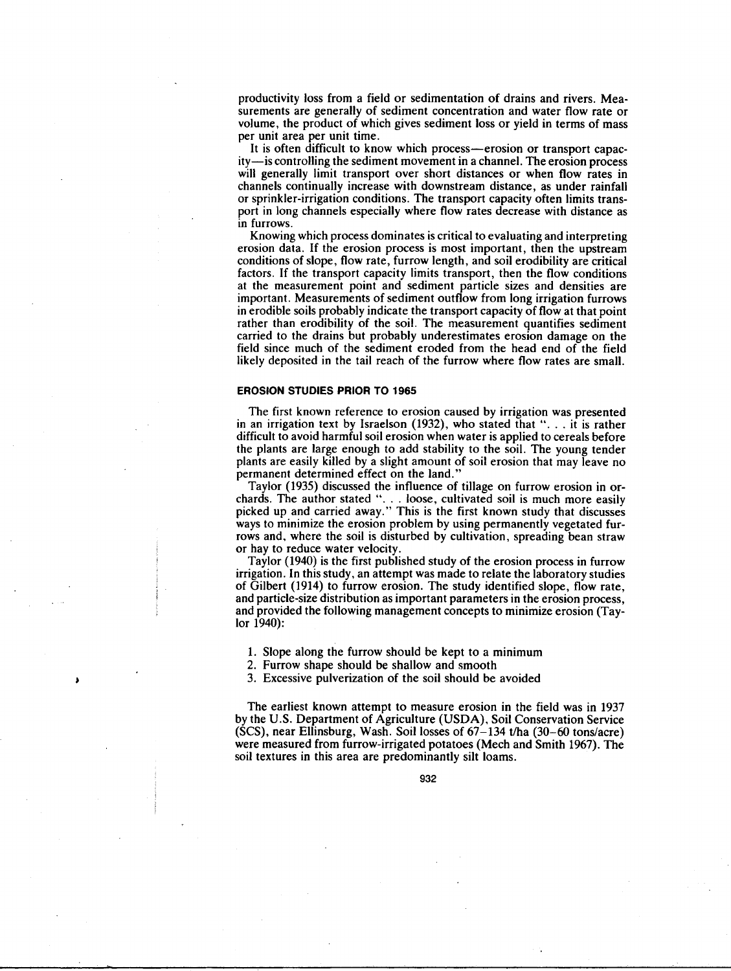productivity loss from a field or sedimentation of drains and rivers. Measurements are generally of sediment concentration and water flow rate or volume, the product of which gives sediment loss or yield in terms of mass per unit area per unit time.

It is often difficult to know which process—erosion or transport capacity—is controlling the sediment movement in a channel. The erosion process will generally limit transport over short distances or when flow rates in channels continually increase with downstream distance, as under rainfall or sprinkler-irrigation conditions. The transport capacity often limits transport in long channels especially where flow rates decrease with distance as in furrows.

Knowing which process dominates is critical to evaluating and interpreting erosion data. If the erosion process is most important, then the upstream conditions of slope, flow rate, furrow length, and soil erodibility are critical factors. If the transport capacity limits transport, then the flow conditions at the measurement point and sediment particle sizes and densities are important. Measurements of sediment outflow from long irrigation furrows in erodible soils probably indicate the transport capacity of flow at that point rather than erodibility of the soil. The measurement quantifies sediment carried to the drains but probably underestimates erosion damage on the field since much of the sediment eroded from the head end of the field likely deposited in the tail reach of the furrow where flow rates are small.

## **EROSION STUDIES PRIOR TO 1965**

The first known reference to erosion caused by irrigation was presented in an irrigation text by Israelson (1932), who stated that ". . . it is rather difficult to avoid harmful soil erosion when water is applied to cereals before the plants are large enough to add stability to the soil. The young tender plants are easily killed by a slight amount of soil erosion that may leave no permanent determined effect on the land."

Taylor (1935) discussed the influence of tillage on furrow erosion in orchards. The author stated ". . . loose, cultivated soil is much more easily picked up and carried away." This is the first known study that discusses ways to minimize the erosion problem by using permanently vegetated furrows and, where the soil is disturbed by cultivation, spreading bean straw or hay to reduce water velocity.

Taylor (1940) is the first published study of the erosion process in furrow irrigation. In this study, an attempt was made to relate the laboratory studies of Gilbert (1914) to furrow erosion. The study identified slope, flow rate, and particle-size distribution as important parameters in the erosion process, and provided the following management concepts to minimize erosion (Taylor 1940):

1. Slope along the furrow should be kept to a minimum

2. Furrow shape should be shallow and smooth

3. Excessive pulverization of the soil should be avoided

The earliest known attempt to measure erosion in the field was in 1937 by the U.S. Department of Agriculture (USDA), Soil Conservation Service (SCS), near Ellinsburg, Wash. Soil losses of 67-134 t/ha (30-60 tons/acre) were measured from furrow-irrigated potatoes (Mech and Smith 1967). The soil textures in this area are predominantly silt loams.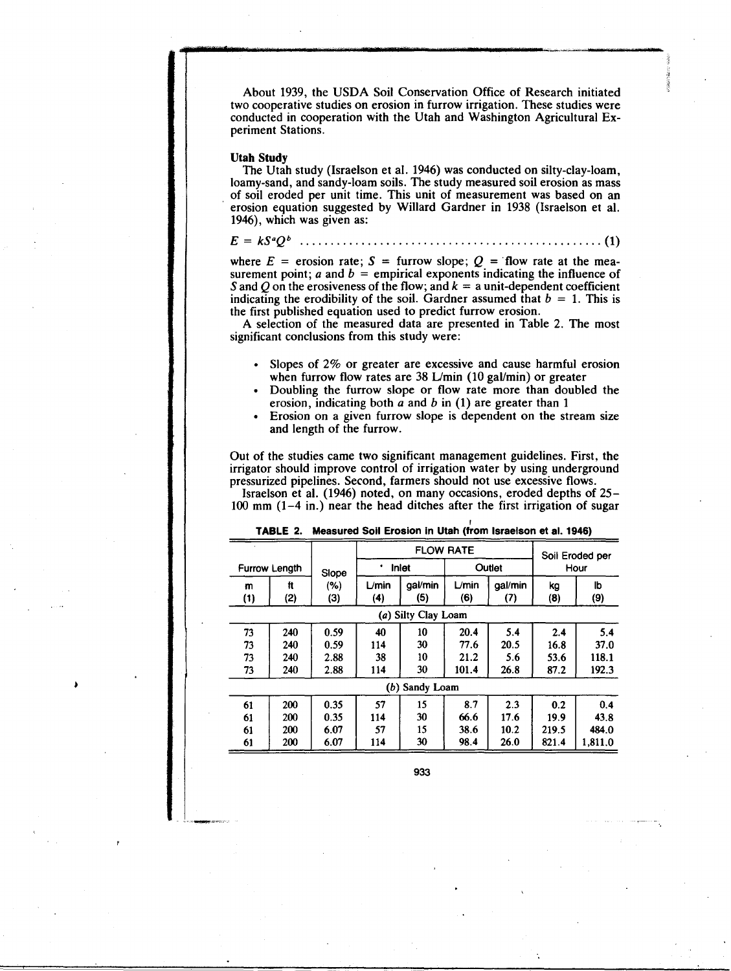About 1939, the USDA Soil Conservation Office of Research initiated two cooperative studies on erosion in furrow irrigation. These studies were conducted in cooperation with the Utah and Washington Agricultural Experiment Stations.

## Utah Study

The Utah study (Israelson et al. 1946) was conducted on silty-clay-loam, loamy-sand, and sandy-loam soils. The study measured soil erosion as mass of soil eroded per unit time. This unit of measurement was based on an erosion equation suggested by Willard Gardner in 1938 (Israelson et al. 1946), which was given as:

E = kS"Qb ( <sup>1</sup> )

where  $E = \text{erosion rate}$ ;  $S = \text{furrow slope}$ ;  $Q = \text{flow rate at the mean}$ surement point;  $a$  and  $b$  = empirical exponents indicating the influence of *S* and *Q* on the erosiveness of the flow; and  $k = a$  unit-dependent coefficient indicating the erodibility of the soil. Gardner assumed that  $b = 1$ . This is the first published equation used to predict furrow erosion.

A selection of the measured data are presented in Table 2. The most significant conclusions from this study were:

- Slopes of 2% or greater are excessive and cause harmful erosion when furrow flow rates are 38 L/min (10 gal/min) or greater
- Doubling the furrow slope or flow rate more than doubled the erosion, indicating both *a* and b in (1) are greater than 1
- Erosion on a given furrow slope is dependent on the stream size and length of the furrow.

Out of the studies came two significant management guidelines. First, the irrigator should improve control of irrigation water by using underground pressurized pipelines. Second, farmers should not use excessive flows.

lsraelson et al. (1946) noted, on many occasions, eroded depths of 25- 100 mm (1-4 in.) near the head ditches after the first irrigation of sugar

|     |               |       |            | <b>FLOW RATE</b>    |                           | Soil Eroded per |       |         |
|-----|---------------|-------|------------|---------------------|---------------------------|-----------------|-------|---------|
|     | Furrow Length | Slope | Inlet<br>٠ |                     |                           | Outlet          | Hour  |         |
| m   | ft            | (%)   | ∟⁄min      | gal/min             | $L$ <i>min</i><br>gal/min |                 | kg    | Ib      |
| (1) | (2)           | (3)   | (4)        | (5)                 | (6)                       | (7)             | (8)   | (9)     |
|     |               |       |            | (a) Silty Clay Loam |                           |                 |       |         |
| 73  | 240           | 0.59  | 40         | 10                  | 20.4                      | 5.4             | 2.4   | 5.4     |
| 73  | 240           | 0.59  | 114        | 30                  | 77.6                      | 20.5            | 16.8  | 37.0    |
| 73  | 240           | 2.88  | 38         | 10                  | 21.2                      | 5.6             | 53.6  | 118.1   |
| 73  | 240           | 2.88  | 114        | 30                  | 101.4<br>26.8             |                 | 87.2  | 192.3   |
|     |               |       |            | (b) Sandy Loam      |                           |                 |       |         |
| 61  | 200           | 0.35  | 57         | 15                  | 8.7                       | 2.3             | 0.2   | 0.4     |
| 61  | 200           | 0.35  | 114        | 30                  | 66.6                      | 17.6            | 19.9  | 43.8    |
| 61  | 200           | 6.07  | 15<br>57   |                     | 38.6                      | 10.2            | 219.5 | 484.0   |
| 61  | 200           | 6.07  | 114        | 30                  | 98.4                      | 26.0            | 821.4 | 1,811.0 |

|  | TABLE 2. Measured Soil Erosion in Utah (from Israelson et al. 1946) |  |  |  |  |  |
|--|---------------------------------------------------------------------|--|--|--|--|--|
|--|---------------------------------------------------------------------|--|--|--|--|--|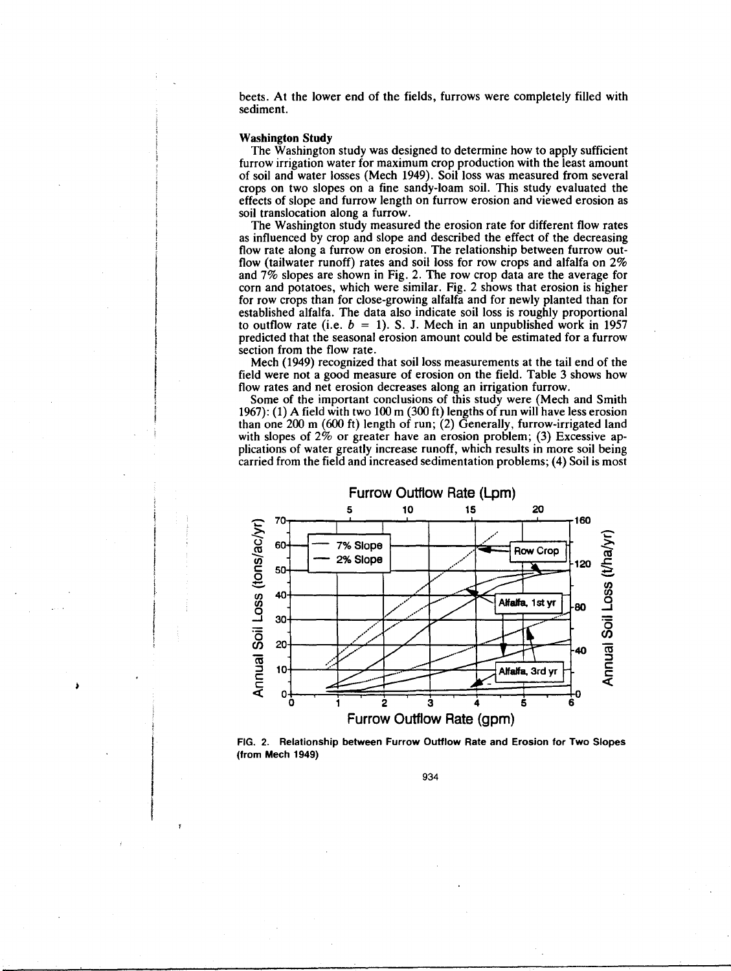beets. At the lower end of the fields, furrows were completely filled with sediment.

#### **Washington Study**

The Washington study was designed to determine how to apply sufficient furrow irrigation water for maximum crop production with the least amount of soil and water losses (Mech 1949). Soil loss was measured from several crops on two slopes on a fine sandy-loam soil. This study evaluated the effects of slope and furrow length on furrow erosion and viewed erosion as soil translocation along a furrow.

The Washington study measured the erosion rate for different flow rates as influenced by crop and slope and described the effect of the decreasing flow rate along a furrow on erosion. The relationship between furrow outflow (tailwater runoff) rates and soil loss for row crops and alfalfa on 2% and 7% slopes are shown in Fig. 2. The row crop data are the average for corn and potatoes, which were similar. Fig. 2 shows that erosion is higher for row crops than for close-growing alfalfa and for newly planted than for established alfalfa. The data also indicate soil loss is roughly proportional to outflow rate (i.e.  $b = 1$ ). S. J. Mech in an unpublished work in 1957 predicted that the seasonal erosion amount could be estimated for a furrow section from the flow rate.

Mech (1949) recognized that soil loss measurements at the tail end of the field were not a good measure of erosion on the field. Table 3 shows how flow rates and net erosion decreases along an irrigation furrow.

Some of the important conclusions of this study were (Mech and Smith 1967): (1) A field with two 100 m (300 ft) lengths of run will have less erosion than one 200 m (600 ft) length of run; (2) Generally, furrow-irrigated land with slopes of 2% or greater have an erosion problem; (3) Excessive applications of water greatly increase runoff, which results in more soil being carried from the field and increased sedimentation problems; (4) Soil is most



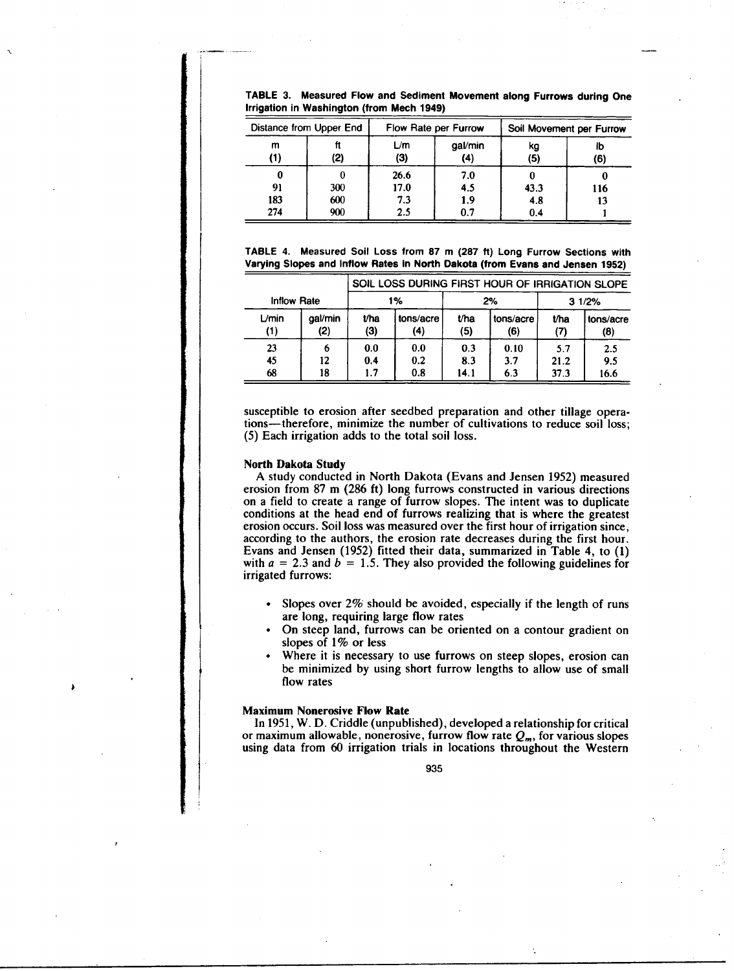|  | TABLE 3. Measured Flow and Sediment Movement along Furrows during One |  |  |  |
|--|-----------------------------------------------------------------------|--|--|--|
|  | Irrigation in Washington (from Mech 1949)                             |  |  |  |

| Distance from Upper End |                   |                            | Flow Rate per Furrow     | Soil Movement per Furrow |           |  |
|-------------------------|-------------------|----------------------------|--------------------------|--------------------------|-----------|--|
| m<br>(1)                | (2)               | L/m<br>(3)                 | gal/min<br>(4)           | kg<br>(5)                | Ib<br>(6) |  |
| 0<br>91<br>183<br>274   | 300<br>600<br>900 | 26.6<br>17.0<br>7.3<br>2.5 | 7.0<br>4.5<br>1.9<br>0.7 | 43.3<br>4.8<br>0.4       | 116<br>13 |  |

TABLE 4. Measured Soil Loss from 87 m (287 ft) Long Furrow Sections with Varying Slopes and Inflow Rates in North Dakota (from Evans and Jensen 1952)

|                    |                |             |                  | SOIL LOSS DURING FIRST HOUR OF IRRIGATION SLOPE |                  |             |                  |  |  |
|--------------------|----------------|-------------|------------------|-------------------------------------------------|------------------|-------------|------------------|--|--|
| <b>Inflow Rate</b> |                | 1%          |                  |                                                 | 2%               | 31/2%       |                  |  |  |
| $L$ min<br>(1)     | gal/min<br>(2) | t/ha<br>(3) | tons/acre<br>(4) | t/ha<br>(5)                                     | tons/acre<br>(6) | t/ha<br>(7) | tons/acre<br>(8) |  |  |
| 23                 | 6              | 0.0         | 0.0              | 0.3                                             | 0.10             | 5.7         | 2.5              |  |  |
| 45                 | 12             | 0.4         | 0.2              | 8.3                                             | 3.7              | 21.2        | 9.5              |  |  |
| 68                 | 18             | 1.7         | 0.8              | 14.1                                            | 6.3              | 37.3        | 16.6             |  |  |

susceptible to erosion after seedbed preparation and other tillage operations-therefore, minimize the number of cultivations to reduce soil loss; (5) Each irrigation adds to the total soil loss.

## **North Dakota Study**

A study conducted in North Dakota (Evans and Jensen 1952) measured erosion from 87 m (286 ft) long furrows constructed in various directions on a field to create a range of furrow slopes. The intent was to duplicate conditions at the head end of furrows realizing that is where the greatest erosion occurs. Soil loss was measured over the first hour of irrigation since, according to the authors, the erosion rate decreases during the first hour. Evans and Jensen (1952) fitted their data, summarized in Table 4, to (1) with  $a = 2.3$  and  $b = 1.5$ . They also provided the following guidelines for irrigated furrows:

- Slopes over 2% should be avoided, especially if the length of runs are long, requiring large flow rates
- On steep land, furrows can be oriented on a contour gradient on slopes of 1% or less
- Where it is necessary to use furrows on steep slopes, erosion can be minimized by using short furrow lengths to allow use of small flow rates

## **Maximum Nonerosive Flow Rate**

In 1951, W. D. Criddle (unpublished), developed a relationship for critical or maximum allowable, nonerosive, furrow flow rate  $Q_m$ , for various slopes using data from 60 irrigation trials in locations throughout the Western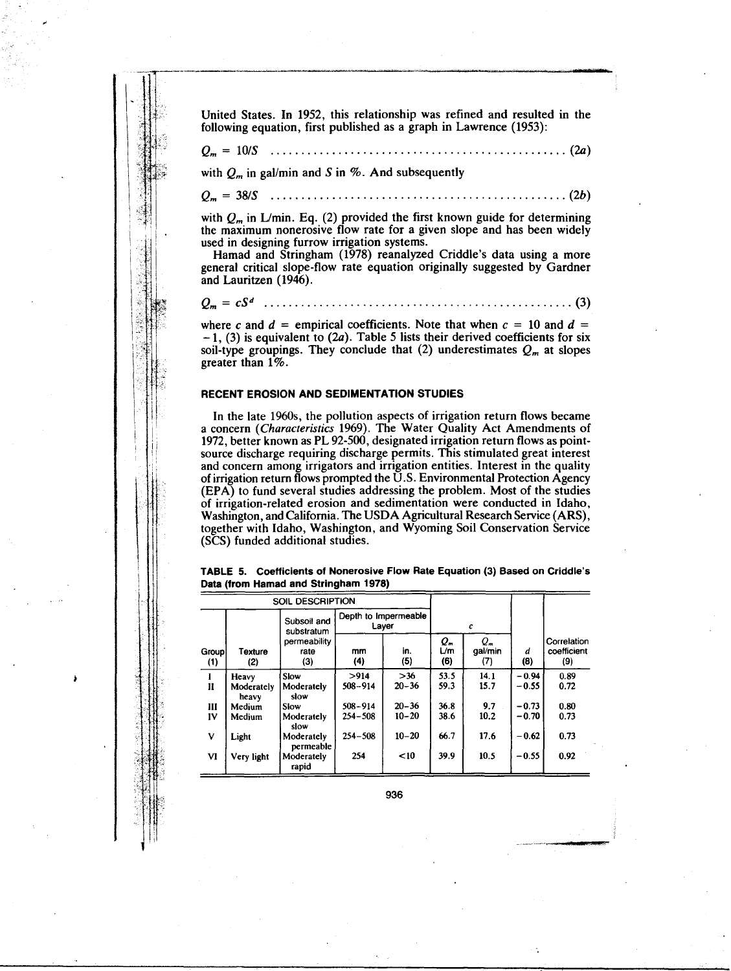United States. In 1952, this relationship was refined and resulted in the following equation, first published as a graph in Lawrence (1953):

*Q", =* 10/S (2a )

with  $Q_m$  in gal/min and *S* in %. And subsequently

 $Q_m = 38/S$  (1) (2b)

with  $Q_m$  in L/min. Eq. (2) provided the first known guide for determining the maximum nonerosive flow rate for a given slope and has been widely used in designing furrow irrigation systems.

Hamad and Stringham (1978) reanalyzed Criddle's data using a more general critical slope-flow rate equation originally suggested by Gardner and Lauritzen (1946).

*Q", = cS'* (3)

where *c* and  $d =$  empirical coefficients. Note that when  $c = 10$  and  $d =$  $-1$ , (3) is equivalent to (2*a*). Table 5 lists their derived coefficients for six soil-type groupings. They conclude that (2) underestimates  $Q_m$  at slopes greater than 1%.

## **RECENT EROSION AND SEDIMENTATION STUDIES**

In the late 1960s, the pollution aspects of irrigation return flows became a concern *(Characteristics* 1969). The Water Quality Act Amendments of 1972, better known as PL 92-500, designated irrigation return flows as pointsource discharge requiring discharge permits. This stimulated great interest and concern among irrigators and irrigation entities. Interest in the quality of irrigation return flows prompted the U.S. Environmental Protection Agency (EPA) to fund several studies addressing the problem. Most of the studies of irrigation-related erosion and sedimentation were conducted in Idaho, Washington, and California. The USDA Agricultural Research Service (ARS), together with Idaho, Washington, and Wyoming Soil Conservation Service (SCS) funded additional studies.

**TABLE 5. Coefficients of Nonerosive Flow Rate Equation (3) Based on Griddle's Data (from Hamad and Stringham 1978)**

|              | <b>SOIL DESCRIPTION</b>   |                             |             |                               |                  |                             |          |                                   |
|--------------|---------------------------|-----------------------------|-------------|-------------------------------|------------------|-----------------------------|----------|-----------------------------------|
|              | Subsoil and<br>substratum |                             |             | Depth to Impermeable<br>Layer |                  | с                           |          |                                   |
| Group<br>(1) | <b>Texture</b><br>(2)     | permeability<br>rate<br>(3) | mm<br>(4)   | in.<br>(5)                    | Q"<br>L/m<br>(6) | $Q_{\pi}$<br>gal/min<br>(7) | d<br>(8) | Correlation<br>coefficient<br>(9) |
| Ŧ            | Heavy                     | Slow                        | >914        | $>36$                         | 53.5             | 14.1                        | $-0.94$  | 0.89                              |
| $\mathbf{I}$ | Moderately<br>heavy       | Moderately<br>slow          | $508 - 914$ | $20 - 36$                     | 59.3             | 15.7                        | $-0.55$  | 0.72                              |
| Ш            | Medium                    | Slow                        | $508 - 914$ | $20 - 36$                     | 36.8             | 9.7                         | $-0.73$  | 0.80                              |
| IV           | Medium                    | Moderately<br>slow          | $254 - 508$ | $10 - 20$                     | 38.6             | 10.2                        | $-0.70$  | 0.73                              |
| v            | Light                     | Moderately<br>permeable     | $254 - 508$ | $10 - 20$                     | 66.7             | 17.6                        | $-0.62$  | 0.73                              |
| VI           | Very light                | Moderately<br>rapid         | 254         | $10$                          | 39.9             | 10.5                        | $-0.55$  | 0.92                              |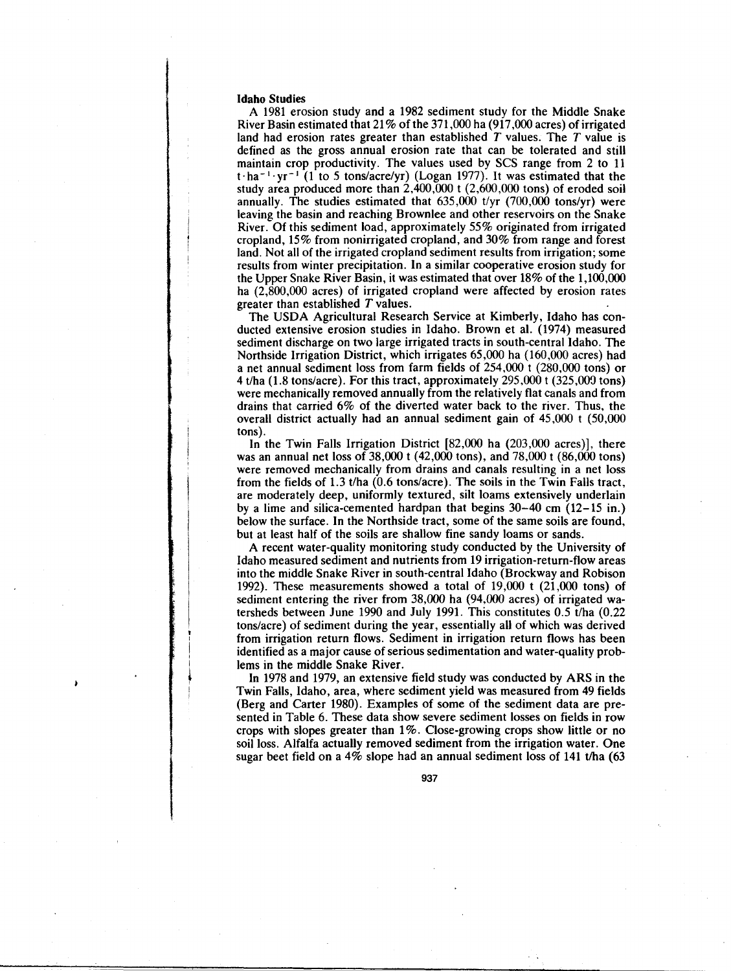## **Idaho Studies**

A 1981 erosion study and a 1982 sediment study for the Middle Snake River Basin estimated that 21% of the 371,000 ha (917,000 acres) of irrigated land had erosion rates greater than established *T* values. The *T* value is defined as the gross annual erosion rate that can be tolerated and still maintain crop productivity. The values used by SCS range from 2 to 11 t  $\cdot$  ha<sup>-1</sup> · yr<sup>-1</sup> (1 to 5 tons/acre/yr) (Logan 1977). It was estimated that the study area produced more than 2,400,000 t (2,600,000 tons) of eroded soil annually. The studies estimated that 635,000 t/yr (700,000 tons/yr) were leaving the basin and reaching Brownlee and other reservoirs on the Snake River. Of this sediment load, approximately 55% originated from irrigated cropland, 15% from nonirrigated cropland, and 30% from range and forest land. Not all of the irrigated cropland sediment results from irrigation; some results from winter precipitation. In a similar cooperative erosion study for the Upper Snake River Basin, it was estimated that over 18% of the 1,100,000 ha (2,800,000 acres) of irrigated cropland were affected by erosion rates greater than established *T* values.

The USDA Agricultural Research Service at Kimberly, Idaho has conducted extensive erosion studies in Idaho. Brown et al. (1974) measured sediment discharge on two large irrigated tracts in south-central Idaho. The Northside Irrigation District, which irrigates 65,000 ha (160,000 acres) had a net annual sediment loss from farm fields of 254,000 t (280,000 tons) or 4 t/ha (1.8 tons/acre). For this tract, approximately 295,000 t (325,009 tons) were mechanically removed annually from the relatively flat canals and from drains that carried 6% of the diverted water back to the river. Thus, the overall district actually had an annual sediment gain of 45,000 t (50,000 tons).

In the Twin Falls Irrigation District [82,000 ha (203,000 acres)], there was an annual net loss of 38,000 t (42,000 tons), and 78,000 t (86,000 tons) were removed mechanically from drains and canals resulting in a net loss from the fields of 1.3 t/ha (0.6 tons/acre). The soils in the Twin Falls tract, are moderately deep, uniformly textured, silt loarns extensively underlain by a lime and silica-cemented hardpan that begins 30-40 cm (12-15 in.) below the surface. In the Northside tract, some of the same soils are found, but at least half of the soils are shallow fine sandy loams or sands.

A recent water-quality monitoring study conducted by the University of Idaho measured sediment and nutrients from 19 irrigation-return-flow areas into the middle Snake River in south-central Idaho (Brockway and Robison 1992). These measurements showed a total of  $19,000$  t  $(21,000 \text{ tons})$  of sediment entering the river from 38,000 ha (94,000 acres) of irrigated watersheds between June 1990 and July 1991. This constitutes 0.5 t/ha (0.22 tons/acre) of sediment during the year, essentially all of which was derived from irrigation return flows. Sediment in irrigation return flows has been identified as a major cause of serious sedimentation and water-quality problems in the middle Snake River.

In 1978 and 1979, an extensive field study was conducted by ARS in the Twin Falls, Idaho, area, where sediment yield was measured from 49 fields (Berg and Carter 1980). Examples of some of the sediment data are presented in Table 6. These data show severe sediment losses on fields in row crops with slopes greater than 1%. Close-growing crops show little or no soil loss. Alfalfa actually removed sediment from the irrigation water. One sugar beet field on a  $4\%$  slope had an annual sediment loss of 141 t/ha (63)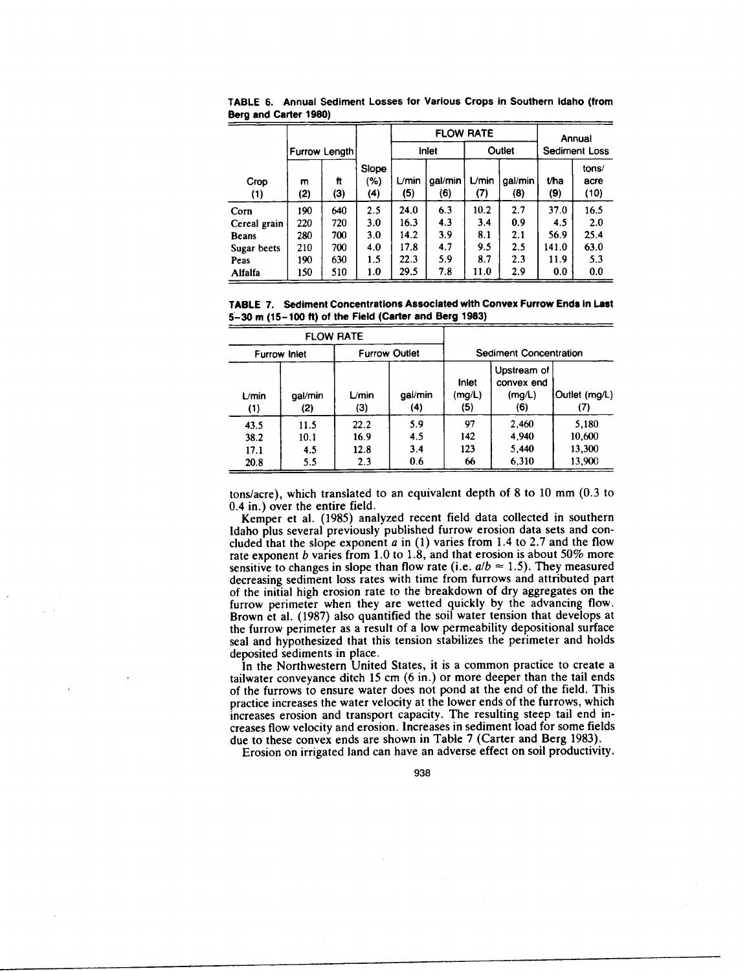|              |          |               |                          |                       | <b>FLOW RATE</b> | Annual       |                |                      |                       |
|--------------|----------|---------------|--------------------------|-----------------------|------------------|--------------|----------------|----------------------|-----------------------|
|              |          | Furrow Length |                          |                       | Inlet            |              | Outlet         | <b>Sediment Loss</b> |                       |
| Crop<br>(1)  | m<br>(2) | ft<br>(3)     | Slope<br>(%)<br>$\bf(4)$ | $L$ <i>min</i><br>(5) | gal/min<br>(6)   | L/min<br>(7) | gal/min<br>(8) | t/ha<br>(9)          | tons/<br>acre<br>(10) |
| Corn         | 190      | 640           | 2.5                      | 24.0                  | 6.3              | 10.2         | 2.7            | 37.0                 | 16.5                  |
| Cereal grain | 220      | 720           | 3.0                      | 16.3                  | 4.3              | 3.4          | 0.9            | 4.5                  | 2.0                   |
| <b>Beans</b> | 280      | 700           | 3.0                      | 14.2                  | 3.9              | 8.1          | 2.1            | 56.9                 | 25.4                  |
| Sugar beets  | 210      | 700           | 4.0                      | 17.8                  | 4.7              | 9.5          | 2.5            | 141.0                | 63.0                  |
| Peas         | 190      | 630           | 1.5                      | 22.3                  | 5.9              | 8.7          | 2.3            | 11.9                 | 5.3                   |
| Alfalfa      | 150      | 510           | 1.0                      | 29.5                  | 7.8              | 11.0         | 2.9            | 0.0                  | 0.0                   |

TABLE 6. Annual Sediment Losses for Various Crops in Southern Idaho (from Berg and Carter 1980)

**TABLE** 7. Sediment Concentrations Associated with Convex Furrow Ends in Last 5-30 m (15-100 ft) **of the Field (Carter and Berg 1983)**

|                              |                            | <b>FLOW RATE</b>            |                          |                        |                                            |                                     |
|------------------------------|----------------------------|-----------------------------|--------------------------|------------------------|--------------------------------------------|-------------------------------------|
| <b>Furrow Inlet</b>          |                            |                             | <b>Furrow Outlet</b>     |                        | Sediment Concentration                     |                                     |
| L/min<br>(1)                 | gal/min<br>(2)             | $L/m$ in<br>(3)             | gal/min<br>(4)           | Inlet<br>(mg/L)<br>(5) | Upstream of<br>convex end<br>(mg/L)<br>(6) | Outlet (mg/L)<br>(7)                |
| 43.5<br>38.2<br>17.1<br>20.8 | 11.5<br>10.1<br>4.5<br>5.5 | 22.2<br>16.9<br>12.8<br>2.3 | 5.9<br>4.5<br>3.4<br>0.6 | 97<br>142<br>123<br>66 | 2.460<br>4.940<br>5,440<br>6,310           | 5,180<br>10,600<br>13,300<br>13,900 |

tons/acre), which translated to an equivalent depth of 8 to 10 mm (0.3 to 0.4 in.) over the entire field.

Kemper et al. (1985) analyzed recent field data collected in southern Idaho plus several previously published furrow erosion data sets and concluded that the slope exponent *a in* (1) varies from 1.4 to 2.7 and the flow rate exponent *b* varies from 1.0 to 1.8, and that erosion is about 50% more sensitive to changes in slope than flow rate (i.e.  $a/b \approx 1.5$ ). They measured decreasing sediment loss rates with time from furrows and attributed part of the initial high erosion rate to the breakdown of dry aggregates on the furrow perimeter when they are wetted quickly by the advancing flow. Brown et al. (1987) also quantified the soil water tension that develops at the furrow perimeter as a result of a low permeability depositional surface seal and hypothesized that this tension stabilizes the perimeter and holds deposited sediments in place.

In the Northwestern United States, it is a common practice to create a tailwater conveyance ditch 15 cm (6 in.) or more deeper than the tail ends of the furrows to ensure water does not pond at the end of the field. This practice increases the water velocity at the lower ends of the furrows, which increases erosion and transport capacity. The resulting steep tail end increases flow velocity and erosion. Increases in sediment load for some fields due to these convex ends are shown in Table 7 (Carter and Berg 1983).

Erosion on irrigated land can have an adverse effect on soil productivity.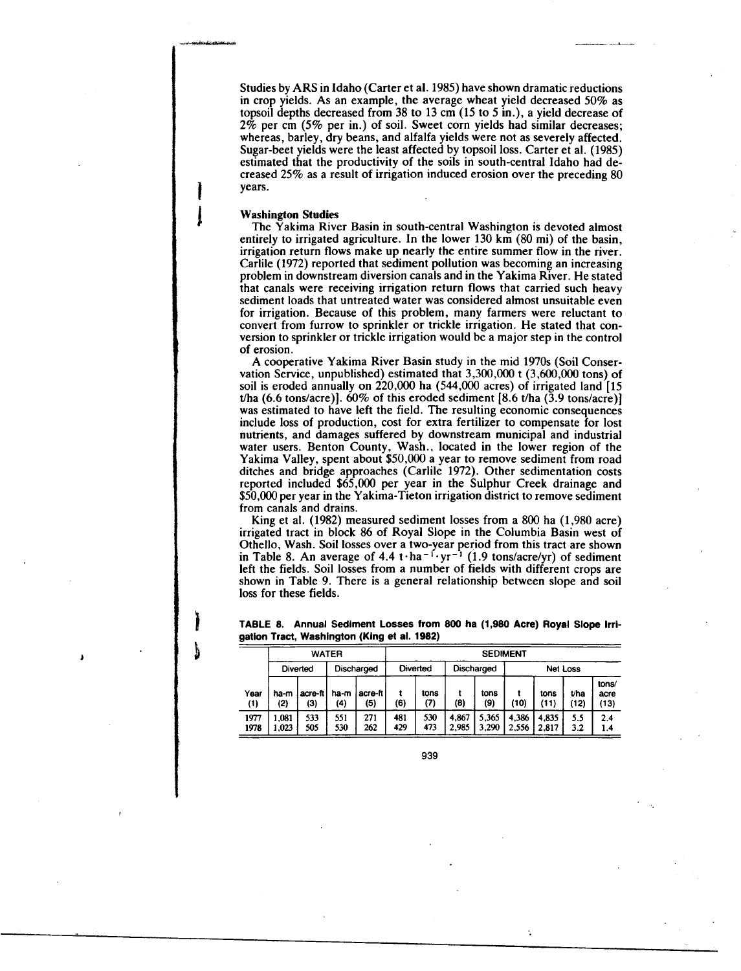Studies by ARS in Idaho (Carter et al. 1985) have shown dramatic reductions in crop yields. As an example, the average wheat yield decreased 50% as topsoil depths decreased from 38 to 13 cm (15 to 5 in.), a yield decrease of  $2\%$  per cm (5% per in.) of soil. Sweet corn yields had similar decreases; whereas, barley, dry beans, and alfalfa yields were not as severely affected. Sugar-beet yields were the least affected by topsoil loss. Carter et al. (1985) estimated that the productivity of the soils in south-central Idaho had decreased 25% as a result of irrigation induced erosion over the preceding 80 years.

#### **Washington Studies**

The Yakima River Basin in south-central Washington is devoted almost entirely to irrigated agriculture. In the lower 130 km (80 mi) of the basin, irrigation return flows make up nearly the entire summer flow in the river. Carlile (1972) reported that sediment pollution was becoming an increasing problem in downstream diversion canals and in the Yakima River. He stated that canals were receiving irrigation return flows that carried such heavy sediment loads that untreated water was considered almost unsuitable even for irrigation. Because of this problem, many farmers were reluctant to convert from furrow to sprinkler or trickle irrigation. He stated that conversion to sprinkler or trickle irrigation would be a major step in the control of erosion.

A cooperative Yakima River Basin study in the mid 1970s (Soil Conservation Service, unpublished) estimated that 3,300,000 t (3,600,000 tons) of soil is eroded annually on 220,000 ha (544,000 acres) of irrigated land [15 t/ha (6.6 tons/acre)].  $60\%$  of this eroded sediment [8.6 t/ha (3.9 tons/acre)] was estimated to have left the field. The resulting economic consequences include loss of production, cost for extra fertilizer to compensate for lost nutrients, and damages suffered by downstream municipal and industrial water users. Benton County, Wash., located in the lower region of the Yakima Valley, spent about \$50,000 a year to remove sediment from road ditches and bridge approaches (Carlile 1972). Other sedimentation costs reported included \$65,000 per year in the Sulphur Creek drainage and \$50,000 per year in the Yakima-Tieton irrigation district to remove sediment from canals and drains.

King et al. (1982) measured sediment losses from a 800 ha (1,980 acre) irrigated tract in block 86 of Royal Slope in the Columbia Basin west of Othello, Wash. Soil losses over a two-year period from this tract are shown in Table 8. An average of  $4.4 t \cdot ha^{-1} \cdot yr^{-1}$  (1.9 tons/acre/yr) of sediment left the fields. Soil losses from a number of fields with different crops are shown in Table 9. There is a general relationship between slope and soil loss for these fields.

**TABLE 8. Annual Sediment Losses from 800 ha (1,980 Acre) Royal Slope Irrigation Tract, Washington (King et al. 1982)**

|                  |                               |                | <b>WATER</b>    |                  |            | <b>SEDIMENT</b> |                |                |                |                |              |                       |  |  |
|------------------|-------------------------------|----------------|-----------------|------------------|------------|-----------------|----------------|----------------|----------------|----------------|--------------|-----------------------|--|--|
|                  | Discharged<br><b>Diverted</b> |                | <b>Diverted</b> |                  | Discharged |                 | Net Loss       |                |                |                |              |                       |  |  |
| Year<br>$\bf(1)$ | ha-m<br>(2)                   | acre-ft<br>(3) | ha-m<br>(4)     | acre-ft l<br>(5) | (6)        | tons<br>(7)     | (8)            | tons<br>(9)    | (10)           | tons<br>(11)   | t/ha<br>(12) | tons/<br>acre<br>(13) |  |  |
| 1977<br>1978     | 1.081<br>1.023                | 533<br>505     | 551<br>530      | 271<br>262       | 481<br>429 | 530<br>473      | 4,867<br>2,985 | 5,365<br>3,290 | 4,386<br>2.556 | 4.835<br>2.817 | 5.5<br>3.2   | 2.4<br>1.4            |  |  |

939

÷,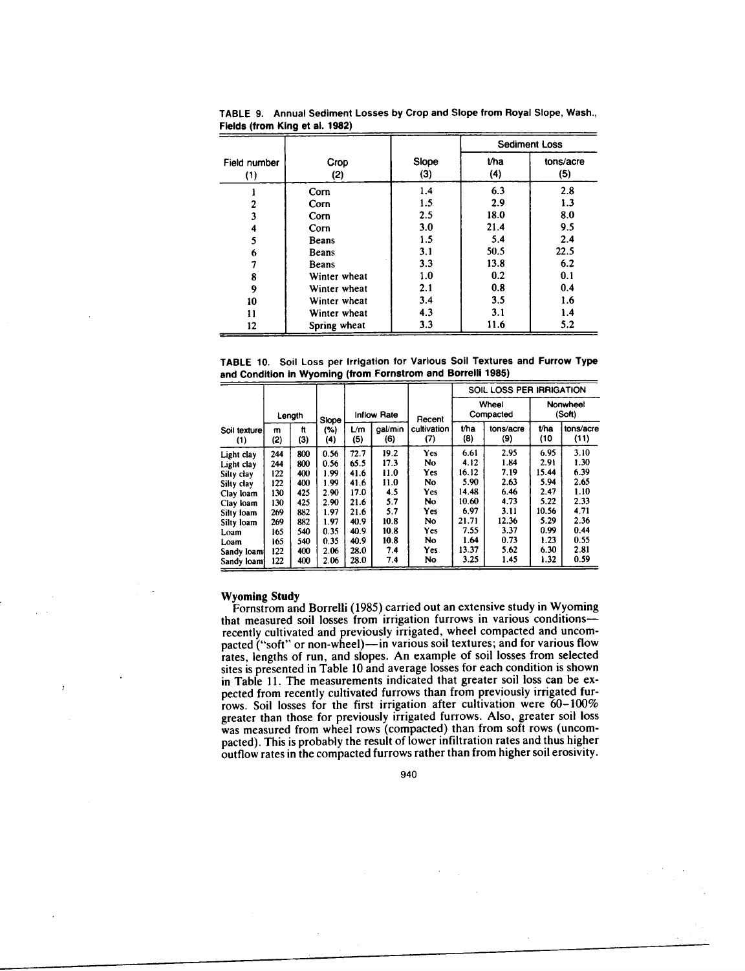|                |                              |            |            | <b>Sediment Loss</b> |
|----------------|------------------------------|------------|------------|----------------------|
| Field number   | Crop                         | Slope      | t/ha       | tons/acre            |
| (1)            | (2)                          | (3)        | (4)        | (5)                  |
|                | Corn                         | 1.4        | 6.3        | 2.8                  |
| $\overline{c}$ | Corn                         | 1.5        | 2.9        | 1.3                  |
| 3              | Corn                         | 2.5        | 18.0       | 8.0                  |
| 4              | Corn                         | 3.0        | 21.4       | 9.5                  |
| 5              | <b>Beans</b>                 | 1.5        | 5.4        | 2.4                  |
| 6              | <b>Beans</b>                 | 3.1        | 50.5       | 22.5                 |
|                | <b>Beans</b>                 | 3.3        | 13.8       | 6.2                  |
| 8              | Winter wheat                 | 1.0<br>2.1 | 0.2<br>0.8 | 0.1<br>0.4           |
| 9<br>10        | Winter wheat<br>Winter wheat | 3.4        | 3.5        | 1.6                  |
| 11             | Winter wheat                 | 4.3        | 3.1        | 1.4                  |
| 12             | Spring wheat                 | 3.3        | 11.6       | 5.2                  |

TABLE 9. Annual Sediment Losses by Crop and Slope from Royal Slope, Wash., Fields (from King et al. 1982)

TABLE 10. Soil Loss per Irrigation for Various Soil Textures and Furrow Type and Condition in Wyoming (from Fornstrom and Borrelli 1985)

|                                                                                                                                          |                                                                           |                                                                           |                                                                                      |                                                                                      |                                                                                  |                                                                              | SOIL LOSS PER IRRIGATION                                                                  |                                                                                       |                                                                                        |                                                                                      |  |
|------------------------------------------------------------------------------------------------------------------------------------------|---------------------------------------------------------------------------|---------------------------------------------------------------------------|--------------------------------------------------------------------------------------|--------------------------------------------------------------------------------------|----------------------------------------------------------------------------------|------------------------------------------------------------------------------|-------------------------------------------------------------------------------------------|---------------------------------------------------------------------------------------|----------------------------------------------------------------------------------------|--------------------------------------------------------------------------------------|--|
|                                                                                                                                          |                                                                           | Length                                                                    | Slope                                                                                |                                                                                      | <b>Inflow Rate</b>                                                               | Recent                                                                       | Wheel<br>Compacted                                                                        |                                                                                       | Nonwheel<br>(Soft)                                                                     |                                                                                      |  |
| Soil texture<br>(1)                                                                                                                      | m<br>(2)                                                                  | tt<br>(3)                                                                 | (%)<br>(4)                                                                           | Lт<br>(5)                                                                            | gal/min<br>(6)                                                                   | cultivation<br>(7)                                                           | t/ha<br>(8)                                                                               | tons/acre<br>(9)                                                                      | t/ha<br>(10                                                                            | tons/acre<br>(11)                                                                    |  |
| Light clay<br>Light clay<br>Silty clay<br>Silty clay<br>Clay loam<br>Clay loam<br>Silty loam<br>Silty loam<br>Loam<br>Loam<br>Sandy loam | 244<br>244<br>122<br>122<br>130<br>130<br>269<br>269<br>165<br>165<br>122 | 800<br>800<br>400<br>400<br>425<br>425<br>882<br>882<br>540<br>540<br>400 | 0.56<br>0.56<br>1.99<br>1.99<br>2.90<br>2.90<br>1.97<br>1.97<br>0.35<br>0.35<br>2.06 | 72.7<br>65.5<br>41.6<br>41.6<br>17.0<br>21.6<br>21.6<br>40.9<br>40.9<br>40.9<br>28.0 | 19.2<br>17.3<br>11.0<br>11.0<br>4.5<br>5.7<br>5.7<br>10.8<br>10.8<br>10.8<br>7.4 | Yes<br>No<br><b>Yes</b><br>No<br>Yes<br>No<br>Yes<br>No<br>Yes<br>No.<br>Yes | 6.61<br>4.12<br>16.12<br>5.90<br>14.48<br>10.60<br>6.97<br>21.71<br>7.55<br>1.64<br>13.37 | 2.95<br>1.84<br>7.19<br>2.63<br>6.46<br>4.73<br>3.11<br>12.36<br>3.37<br>0.73<br>5.62 | 6.95<br>2.91<br>15.44<br>5.94<br>2.47<br>5.22<br>10.56<br>5.29<br>0.99<br>1.23<br>6.30 | 3.10<br>1.30<br>6.39<br>2.65<br>1.10<br>2.33<br>4.71<br>2.36<br>0.44<br>0.55<br>2.81 |  |
| Sandy loam                                                                                                                               | 122                                                                       | 400                                                                       | 2.06                                                                                 | 28.0                                                                                 | 7.4                                                                              | No                                                                           | 3.25                                                                                      | 1.45                                                                                  | 1.32                                                                                   | 0.59                                                                                 |  |

#### **Wyoming Study**

Fornstrom and Borrelli (1985) carried out an extensive study in Wyoming that measured soil losses from irrigation furrows in various conditionsrecently cultivated and previously irrigated, wheel compacted and uncompacted ("soft" or non-wheel)- in various soil textures; and for various flow rates, lengths of run, and slopes. An example of soil losses from selected sites is presented in Table 10 and average losses for each condition is shown in Table 11. The measurements indicated that greater soil loss can be expected from recently cultivated furrows than from previously irrigated furrows. Soil losses for the first irrigation after cultivation were 60-100% greater than those for previously irrigated furrows. Also, greater soil loss was measured from wheel rows (compacted) than from soft rows (uncompacted). This is probably the result of lower infiltration rates and thus higher outflow rates in the compacted furrows rather than from higher soil erosivity.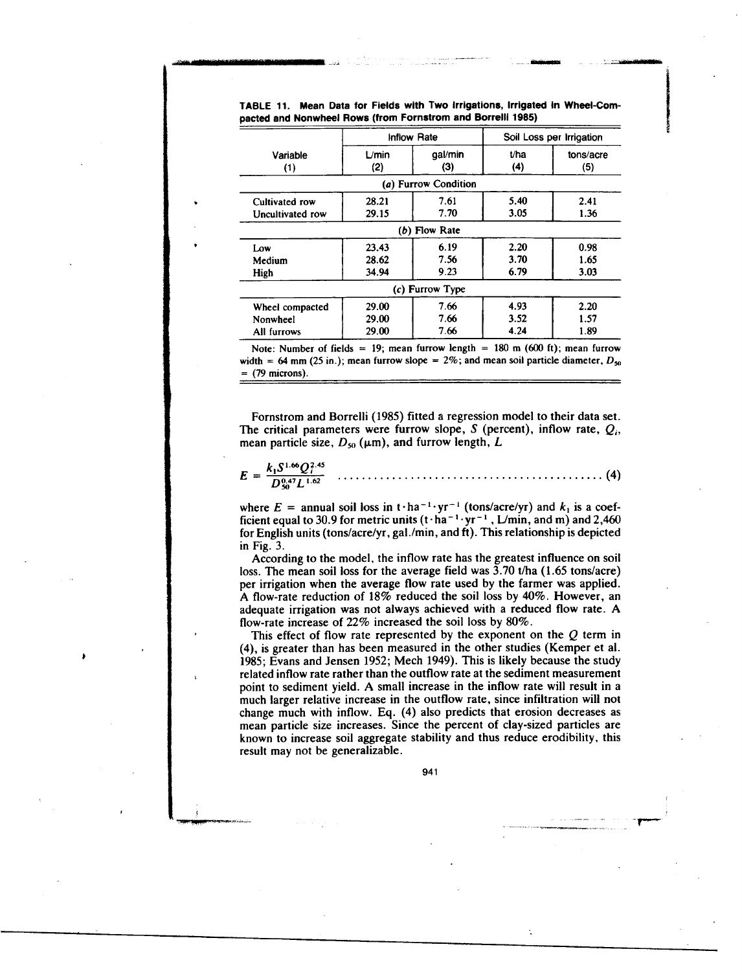|                  | <b>Inflow Rate</b> |                      | Soil Loss per Irrigation |                  |
|------------------|--------------------|----------------------|--------------------------|------------------|
| Variable<br>(1)  | L/min<br>(2)       | gal/min<br>(3)       | t/ha<br>(4)              | tons/acre<br>(5) |
|                  |                    | (a) Furrow Condition |                          |                  |
| Cultivated row   | 28.21              | 7.61                 | 5.40                     | 2.41             |
| Uncultivated row | 29.15              | 7.70                 | 3.05                     | 1.36             |
|                  |                    | $(b)$ Flow Rate      |                          |                  |
| Low              | 23.43              | 6.19                 | 2.20                     | 0.98             |
| Medium           | 28.62              | 7.56                 | 3.70                     | 1.65             |
| High             | 34.94              | 9.23                 | 6.79                     | 3.03             |
|                  |                    | (c) Furrow Type      |                          |                  |
| Wheel compacted  | 29.00              | 7.66                 | 4.93                     | 2.20             |
| Nonwheel         | 29.00              | 7.66                 | 3.52                     | 1.57             |
| All furrows      | 29.00              | 7.66                 | 4.24                     | 1.89             |

## TABLE 11. Mean Data for Fields with Two Irrigations, Irrigated in Wheel-Compacted and Nonwheel Rows (from Fornstrom and Borrelli 1985)

zimilemou **..46141111111116116 --**

Note: Number of fields = 19; mean furrow length = 180 m (600 ft); mean furrow width = 64 mm (25 in.); mean furrow slope =  $2\%$ ; and mean soil particle diameter,  $D_{\rm so}$  $=$  (79 microns).

Fornstrom and Borrelli (1985) fitted a regression model to their data set. The critical parameters were furrow slope, *S* (percent), inflow rate,  $Q_i$ , mean particle size,  $D_{50}$  ( $\mu$ m), and furrow length, *L* 

| $k_1S^{1.66}O_1^{2.45}$<br>$D_{50}^{0.47}L^{1.62}$ |  |  |
|----------------------------------------------------|--|--|
|----------------------------------------------------|--|--|

where  $E =$  annual soil loss in t · ha<sup>-1</sup> · yr<sup>-1</sup> (tons/acre/yr) and  $k_1$  is a coefficient equal to 30.9 for metric units  $(t \cdot ha^{-1} \cdot yr^{-1}$ , L/min, and m) and 2,460 for English units (tons/acre/yr, gal./min, and ft). This relationship is depicted in Fig. 3.

According to the model, the inflow rate has the greatest influence on soil loss. The mean soil loss for the average field was  $3.70$  t/ha (1.65 tons/acre) per irrigation when the average flow rate used by the farmer was applied. A flow-rate reduction of 18% reduced the soil loss by 40%. However, an adequate irrigation was not always achieved with a reduced flow rate. A flow-rate increase of 22% increased the soil loss by 80%.

This effect of flow rate represented by the exponent on the *Q* term in (4), is greater than has been measured in the other studies (Kemper et al. 1985; Evans and Jensen 1952; Mech 1949). This is likely because the study related inflow rate rather than the outflow rate at the sediment measurement point to sediment yield. A small increase in the inflow rate will result in a much larger relative increase in the outflow rate, since infiltration will not change much with inflow. Eq. (4) also predicts that erosion decreases as mean particle size increases. Since the percent of clay-sized particles are known to increase soil aggregate stability and thus reduce erodibility, this result may not be generalizable.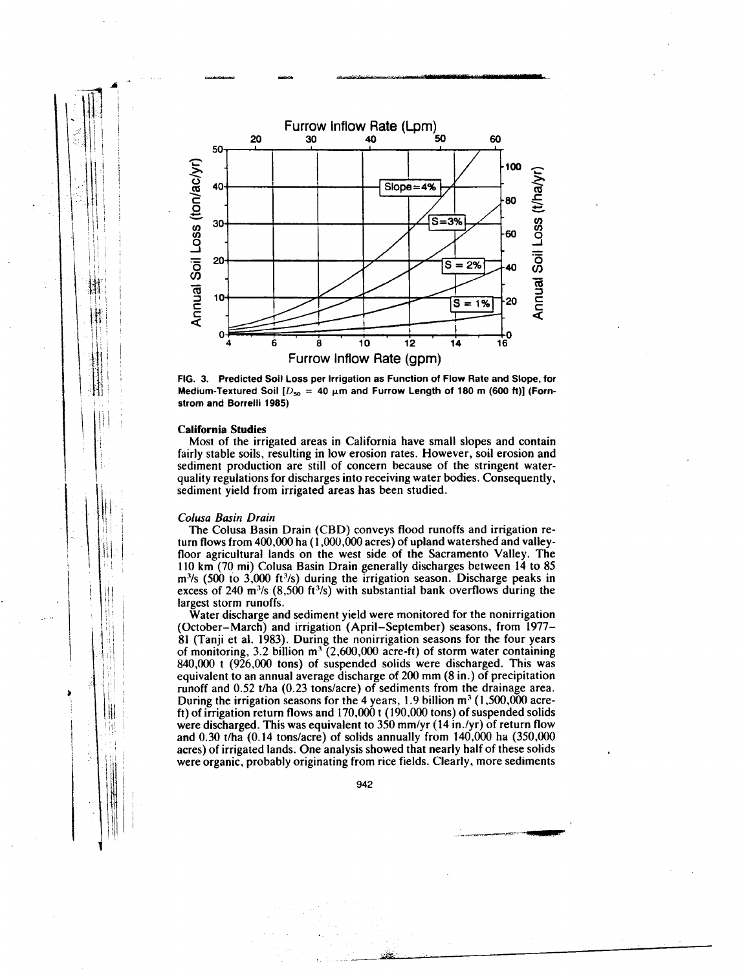

**FIG. 3. Predicted Soil Loss per Irrigation as Function of Flow Rate and Slope, for** Medium-Textured Soil  $[D_{so} = 40 \mu m$  and Furrow Length of 180 m (600 ft)] (Forn**strom and Borrelli 1985)**

## **California Studies**

Most of the irrigated areas in California have small slopes and contain fairly stable soils, resulting in low erosion rates. However, soil erosion and sediment production are still of concern because of the stringent waterquality regulations for discharges into receiving water bodies. Consequently, sediment yield from irrigated areas has been studied.

#### Colusa Basin Drain

The Colusa Basin Drain (CBD) conveys flood runoffs and irrigation return flows from 400,000 ha  $(1,000,000$  acres) of upland watershed and valleyfloor agricultural lands on the west side of the Sacramento Valley. The 110 km (70 mi) Colusa Basin Drain generally discharges between 14 to 85  $m<sup>3</sup>/s$  (500 to 3,000 ft<sup>3</sup>/s) during the irrigation season. Discharge peaks in excess of 240 m<sup>3</sup>/s  $(8,500 \text{ ft}^3/\text{s})$  with substantial bank overflows during the largest storm runoffs.

Water discharge and sediment yield were monitored for the nonirrigation (October–March) and irrigation (April–September) seasons, from 1977- 81 (Tanji et al. 1983). During the nonirrigation seasons for the four years of monitoring, 3.2 billion  $m^3$  (2,600,000 acre-ft) of storm water containing  $840,000$  t  $(926,000)$  tons) of suspended solids were discharged. This was equivalent to an annual average discharge of 200 mm (8 in.) of precipitation runoff and 0.52 t/ha (0.23 tons/acre) of sediments from the drainage area. During the irrigation seasons for the 4 years, 1.9 billion  $m^3$  (1,500,000 acreft) of irrigation return flows and 170,000 t (190,000 tons) of suspended solids were discharged. This was equivalent to 350 mm/yr (14 in./yr) of return flow and 0.30 t/ha (0.14 tons/acre) of solids annually from 140,000 ha (350,000 acres) of irrigated lands. One analysis showed that nearly half of these solids were organic, probably originating from rice fields. Clearly, more sediments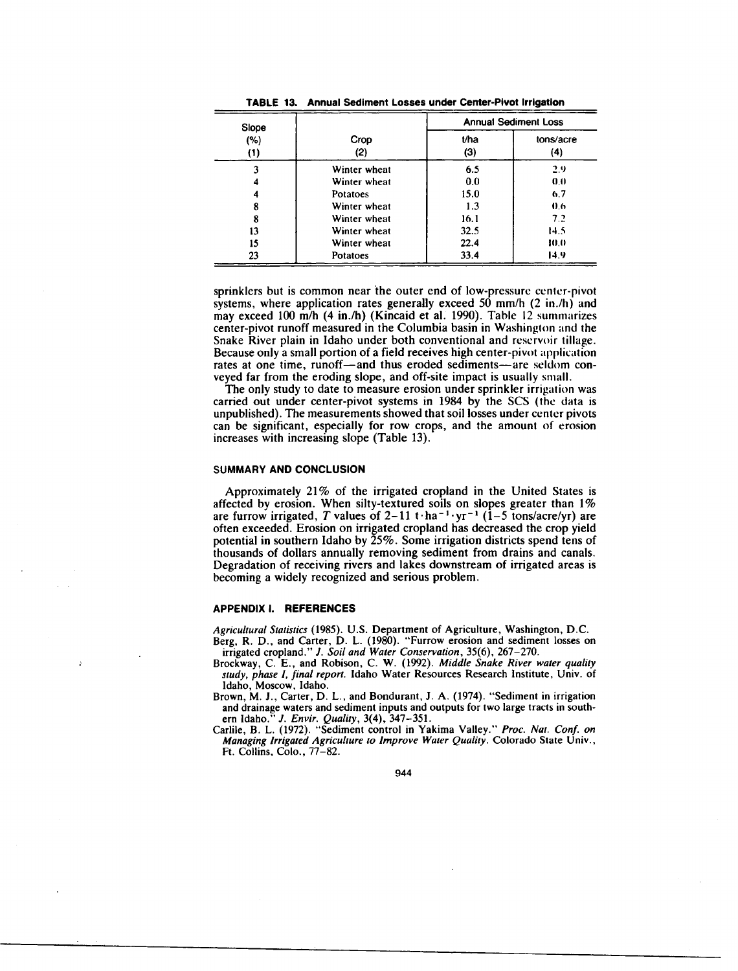| Slope<br>(%)<br>(1) |                 | <b>Annual Sediment Loss</b> |                  |
|---------------------|-----------------|-----------------------------|------------------|
|                     | Crop<br>(2)     | t/ha<br>(3)                 | tons/acre<br>(4) |
| 3                   | Winter wheat    | 6.5                         | 2.9              |
|                     | Winter wheat    | 0.0                         | 0.0              |
|                     | <b>Potatoes</b> | 15.0                        | 6.7              |
| 8                   | Winter wheat    | 1.3                         | 0.6              |
| 8                   | Winter wheat    | 16.1                        | 7.2              |
| 13                  | Winter wheat    | 32.5                        | 14.5             |
| 15                  | Winter wheat    | 22.4                        | 10.0             |
| 23                  | Potatoes        | 33.4                        | 14.9             |

**TABLE 13. Annual Sediment Losses under Center-Pivot Irrigation**

sprinklers but is common near the outer end of low-pressure center-pivot systems, where application rates generally exceed 50 mm/h (2 in./h) and may exceed 100 m/h (4 in./h) (Kincaid et al. 1990). Table 12 summarizes center-pivot runoff measured in the Columbia basin in Washington and the Snake River plain in Idaho under both conventional and reservoir tillage. Because only a small portion of a field receives high center-pivot application rates at one time, runoff—and thus eroded sediments—are seldom conveyed far from the eroding slope, and off-site impact is usually small.

The only study to date to measure erosion under sprinkler irrigation was carried out under center-pivot systems in 1984 by the SCS (the data is unpublished). The measurements showed that soil losses under center pivots can be significant, especially for row crops, and the amount of erosion increases with increasing slope (Table 13).

#### **SUMMARY AND CONCLUSION**

Approximately 21% of the irrigated cropland in the United States is affected by erosion. When silty-textured soils on slopes greater than 1% are furrow irrigated, *T* values of  $2-11$  t  $\cdot$  ha<sup>-1</sup> $\cdot$  yr<sup>-1</sup> (1-5 tons/acre/yr) are often exceeded. Erosion on irrigated cropland has decreased the crop yield potential in southern Idaho by 25%. Some irrigation districts spend tens of thousands of dollars annually removing sediment from drains and canals. Degradation of receiving rivers and lakes downstream of irrigated areas is becoming a widely recognized and serious problem.

#### **APPENDIX I. REFERENCES**

*Agricultural Statistics (1985).* U.S. Department of Agriculture, Washington, D.C. Berg, R. D., and Carter, D. L. (1980). "Furrow erosion and sediment losses on irrigated cropland." *J. Soil and Water Conservation,* 35(6), 267-270.

- Brockway, C. E., and Robison, C. W. (1992). *Middle Snake River water quality study, phase I, final report.* Idaho Water Resources Research Institute, Univ. of Idaho, Moscow, Idaho.
- Brown, M. J., Carter, D. L., and Bondurant, J. A. (1974). "Sediment in irrigation and drainage waters and sediment inputs and outputs for two large tracts in southern Idaho." *J. Envir. Quality,* 3(4), 347-351.
- Carlile, B. L. (1972). "Sediment control in Yakima Valley." *Proc. Nat. Conf. on Managing Irrigated Agriculture to Improve Water Quality.* Colorado State Univ., Ft. Collins, Colo., 77-82.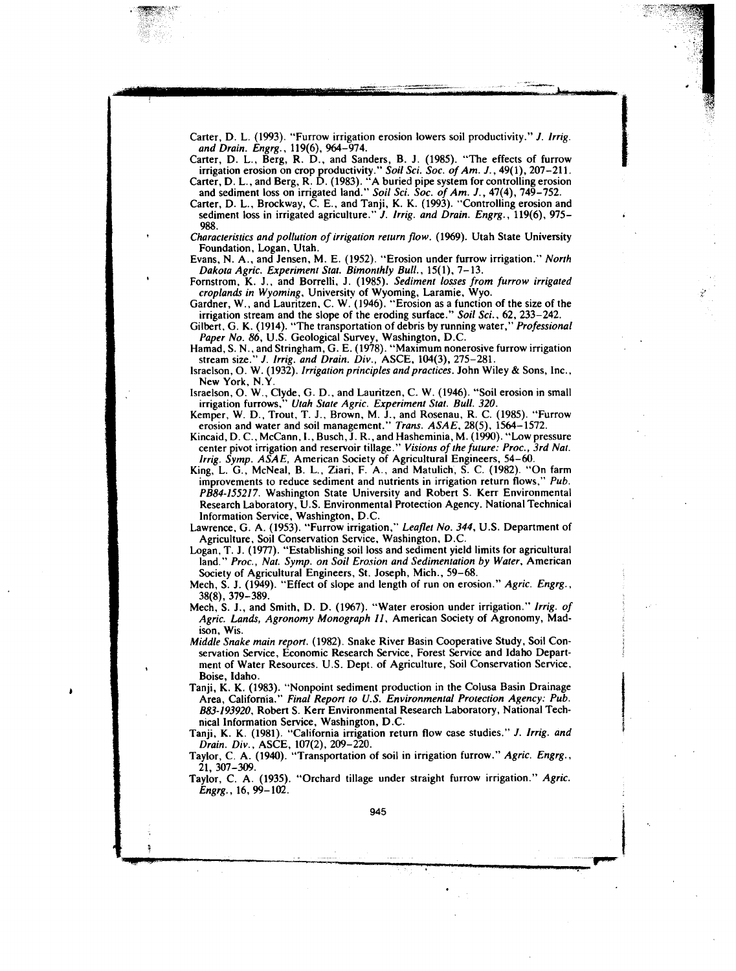Carter, D. L. (1993). "Furrow irrigation erosion lowers soil productivity." *J. Irrig. and Drain. Engrg.,* 119(6), 964-974.

Carter, D. L., Berg, R. D., and Sanders, B. J. (1985). "The effects of furrow irrigation erosion on crop productivity." *Soil Sci. Soc. of Am. J.,* 49(1), 207-211. Carter, D. L., and Berg, R. D. (1983). "A buried pipe system for controlling erosion

and sediment loss on irrigated land." *Soil Sci. Soc. of Am. J.,* 47(4), 749-752. Carter, D. L., Brockway, C. E., and Tanji, K. K. (1993). "Controlling erosion and

sediment loss in irrigated agriculture." *J. Irrig. and Drain. Engrg.,* 119(6), 975- 988.

*Characteristics and pollution of irrigation return flow.* (1969). Utah State University Foundation, Logan, Utah.

Evans, N. A., and Jensen, M. E. (1952). "Erosion under furrow irrigation." *North Dakota Agric. Experiment Stat. Bimonthly Bull.,* 15(1), 7-13.

Fornstrom, K. J., and Borrelli, J. (1985). *Sediment losses from furrow irrigated croplands in Wyoming,* University of Wyoming, Laramie, Wyo.

Gardner, W., and Lauritzen, C. W. (1946). "Erosion as a function of the size of the irrigation stream and the slope of the eroding surface." *Soil Sci.,* 62, 233-242.

Gilbert, G. K. (1914). "The transportation of debris by running water," *Professional Paper No. 86,* U.S. Geological Survey, Washington, D.C.

Hamad, S. N., and Stringham, G. E. (1978). "Maximum nonerosive furrow irrigation stream size." *J. Irrig. and Drain. Div.,* ASCE, 104(3), 275-281.

Israelson, 0. W. (1932). *Irrigation principles and practices.* John Wiley & Sons, Inc., New York, N.Y.

Israelson, 0. W., Clyde, G. D., and Lauritzen, C. W. (1946). "Soil erosion in small irrigation furrows," *Utah State Agric. Experiment Stat. Bull. 320.*

Kemper, W. D., Trout, T. J., Brown, M. J., and Rosenau, R. C. (1985). "Furrow erosion and water and soil management." *Trans. ASAE,* 28(5), 1564-1572.

Kincaid, D. C., McCann, I., Busch, J. R., and Hasheminia, M. (1990). "Low pressure center pivot irrigation and reservoir tillage." *Visions of the future: Proc., 3rd Nat. Irrig. Symp. ASAE,* American Society of Agricultural Engineers, 54-60.

King, L. G., McNeal, B. L., Ziari, F. A., and Matulich, S. C. (1982). "On farm improvements to reduce sediment and nutrients in irrigation return flows," *Pub. PB84-155217.* Washington State University and Robert S. Kerr Environmental Research Laboratory, U.S. Environmental Protection Agency. National Technical Information Service, Washington, D.C.

Lawrence, G. A. (1953). "Furrow irrigation," *Leaflet No. 344,* U.S. Department of Agriculture, Soil Conservation Service, Washington, D.C.

Logan, T. J. (1977). "Establishing soil loss and sediment yield limits for agricultural land." Proc., Nat. Symp. on Soil Erosion and Sedimentation by Water, American Society of Agricultural Engineers, St. Joseph, Mich., 59-68.

Mech, S. J. (1949). "Effect of slope and length of run on erosion." *Agric. Engrg.,* 38(8), 379-389.

Mech, S. J., and Smith, D. D. (1967). "Water erosion under irrigation." *Irrig. of Agric. Lands, Agronomy Monograph 11,* American Society of Agronomy, Madison, Wis.

*Middle Snake main report.* (1982). Snake River Basin Cooperative Study, Soil Conservation Service, Economic Research Service, Forest Service and Idaho Department of Water Resources. U.S. Dept. of Agriculture, Soil Conservation Service, Boise, Idaho.

Tanji, K. K. (1983). "Nonpoint sediment production in the Colusa Basin Drainage Area, California." *Final Report to U.S. Environmental Protection Agency: Pub. B83-193920,* Robert S. Kerr Environmental Research Laboratory, National Technical Information Service, Washington, D.C.

Tanji, K. K. (1981). "California irrigation return flow case studies." *J. Irrig. and Drain. Div.,* ASCE, 107(2), 209-220.

Taylor, C. A. (1940). "Transportation of soil in irrigation furrow." *Agric. Engrg.,* 21, 307-309.

Taylor, C. A. (1935). "Orchard tillage under straight furrow irrigation." *Agric. Engrg.,* 16, 99-102.